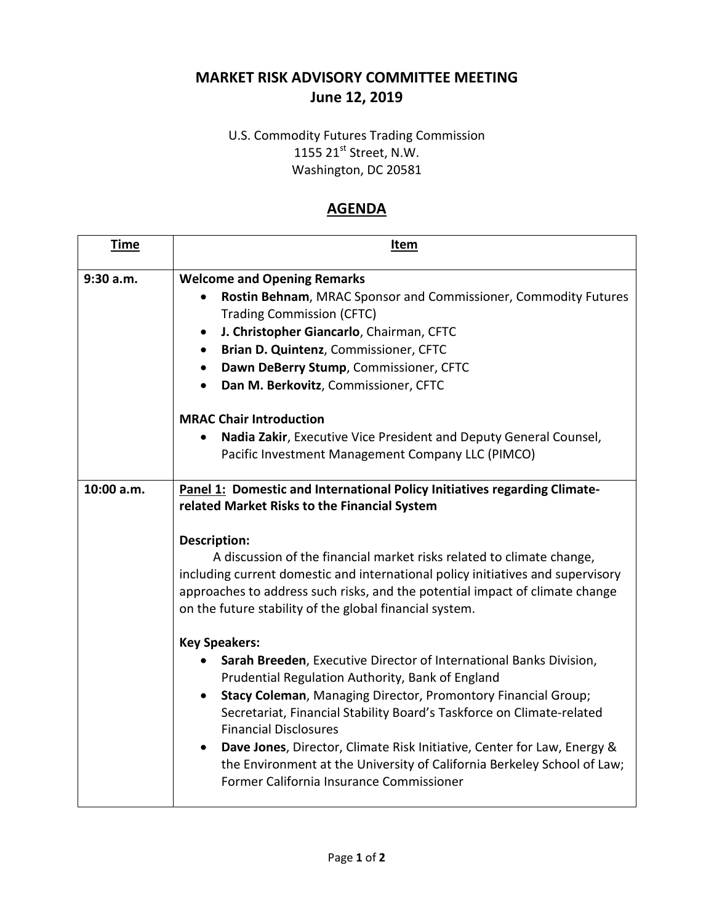## **MARKET RISK ADVISORY COMMITTEE MEETING June 12, 2019**

## U.S. Commodity Futures Trading Commission  $1155 21<sup>st</sup>$  Street, N.W. Washington, DC 20581

## **AGENDA**

| <b>Time</b> | Item                                                                                                                                                                                                                                                                                                                                                                                                                                                                                                                                                                                                                                                                                                                                                                                                                                                                                                                                                                                                                              |
|-------------|-----------------------------------------------------------------------------------------------------------------------------------------------------------------------------------------------------------------------------------------------------------------------------------------------------------------------------------------------------------------------------------------------------------------------------------------------------------------------------------------------------------------------------------------------------------------------------------------------------------------------------------------------------------------------------------------------------------------------------------------------------------------------------------------------------------------------------------------------------------------------------------------------------------------------------------------------------------------------------------------------------------------------------------|
| 9:30a.m.    | <b>Welcome and Opening Remarks</b><br>Rostin Behnam, MRAC Sponsor and Commissioner, Commodity Futures<br><b>Trading Commission (CFTC)</b><br>J. Christopher Giancarlo, Chairman, CFTC<br>$\bullet$<br>Brian D. Quintenz, Commissioner, CFTC<br>$\bullet$<br>Dawn DeBerry Stump, Commissioner, CFTC<br>$\bullet$<br>Dan M. Berkovitz, Commissioner, CFTC<br>$\bullet$<br><b>MRAC Chair Introduction</b><br>Nadia Zakir, Executive Vice President and Deputy General Counsel,<br>Pacific Investment Management Company LLC (PIMCO)                                                                                                                                                                                                                                                                                                                                                                                                                                                                                                  |
| 10:00 a.m.  | <b>Panel 1: Domestic and International Policy Initiatives regarding Climate-</b><br>related Market Risks to the Financial System<br><b>Description:</b><br>A discussion of the financial market risks related to climate change,<br>including current domestic and international policy initiatives and supervisory<br>approaches to address such risks, and the potential impact of climate change<br>on the future stability of the global financial system.<br><b>Key Speakers:</b><br>Sarah Breeden, Executive Director of International Banks Division,<br>Prudential Regulation Authority, Bank of England<br>Stacy Coleman, Managing Director, Promontory Financial Group;<br>$\bullet$<br>Secretariat, Financial Stability Board's Taskforce on Climate-related<br><b>Financial Disclosures</b><br><b>Dave Jones, Director, Climate Risk Initiative, Center for Law, Energy &amp;</b><br>$\bullet$<br>the Environment at the University of California Berkeley School of Law;<br>Former California Insurance Commissioner |